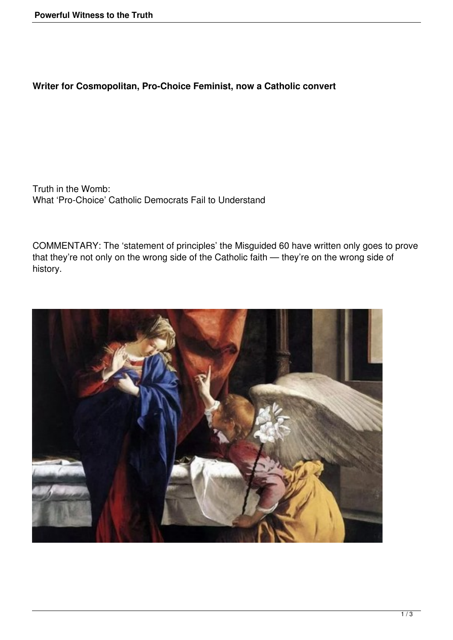## **Writer for Cosmopolitan, Pro-Choice Feminist, now a Catholic convert**

Truth in the Womb: What 'Pro-Choice' Catholic Democrats Fail to Understand

COMMENTARY: The 'statement of principles' the Misguided 60 have written only goes to prove that they're not only on the wrong side of the Catholic faith — they're on the wrong side of history.

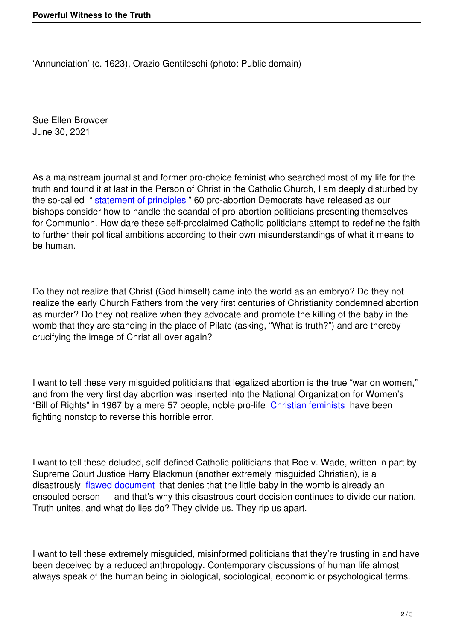Sue Ellen Browder June 30, 2021

As a mainstream journalist and former pro-choice feminist who searched most of my life for the truth and found it at last in the Person of Christ in the Catholic Church, I am deeply disturbed by the so-called " statement of principles " 60 pro-abortion Democrats have released as our bishops consider how to handle the scandal of pro-abortion politicians presenting themselves for Communion. How dare these self-proclaimed Catholic politicians attempt to redefine the faith to further their [political ambitions accor](https://delauro.house.gov/sites/delauro.house.gov/files/documents/Statement%20of%20Principles%206.18.21.pdf)ding to their own misunderstandings of what it means to be human.

Do they not realize that Christ (God himself) came into the world as an embryo? Do they not realize the early Church Fathers from the very first centuries of Christianity condemned abortion as murder? Do they not realize when they advocate and promote the killing of the baby in the womb that they are standing in the place of Pilate (asking, "What is truth?") and are thereby crucifying the image of Christ all over again?

I want to tell these very misguided politicians that legalized abortion is the true "war on women," and from the very first day abortion was inserted into the National Organization for Women's "Bill of Rights" in 1967 by a mere 57 people, noble pro-life Christian feminists have been fighting nonstop to reverse this horrible error.

I want to tell these deluded, self-defined Catholic politicians that Roe v. Wade, written in part by Supreme Court Justice Harry Blackmun (another extremely misguided Christian), is a disastrously flawed document that denies that the little baby in the womb is already an ensouled person — and that's why this disastrous court decision continues to divide our nation. Truth unites, and what do lies do? They divide us. They rip us apart.

I want to tell these extremely misguided, misinformed politicians that they're trusting in and have been deceived by a reduced anthropology. Contemporary discussions of human life almost always speak of the human being in biological, sociological, economic or psychological terms.